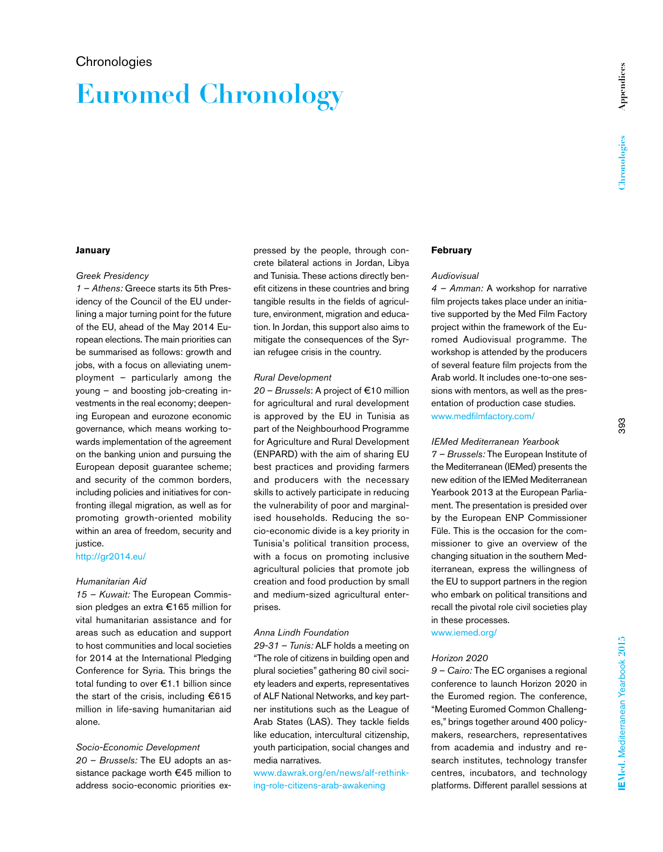# **Euromed Chronology**

# **January**

#### *Greek Presidency*

*1 – Athens:* Greece starts its 5th Presidency of the Council of the EU underlining a major turning point for the future of the EU, ahead of the May 2014 European elections. The main priorities can be summarised as follows: growth and jobs, with a focus on alleviating unemployment – particularly among the young – and boosting job-creating investments in the real economy; deepening European and eurozone economic governance, which means working towards implementation of the agreement on the banking union and pursuing the European deposit guarantee scheme; and security of the common borders, including policies and initiatives for confronting illegal migration, as well as for promoting growth-oriented mobility within an area of freedom, security and justice.

# http://gr2014.eu/

#### *Humanitarian Aid*

*15 – Kuwait:* The European Commission pledges an extra €165 million for vital humanitarian assistance and for areas such as education and support to host communities and local societies for 2014 at the International Pledging Conference for Syria. This brings the total funding to over €1.1 billion since the start of the crisis, including €615 million in life-saving humanitarian aid alone.

# *Socio-Economic Development*

*20 – Brussels:* The EU adopts an assistance package worth €45 million to address socio-economic priorities expressed by the people, through concrete bilateral actions in Jordan, Libya and Tunisia. These actions directly benefit citizens in these countries and bring tangible results in the fields of agriculture, environment, migration and education. In Jordan, this support also aims to mitigate the consequences of the Syrian refugee crisis in the country.

#### *Rural Development*

*20 – Brussels*: A project of €10 million for agricultural and rural development is approved by the EU in Tunisia as part of the Neighbourhood Programme for Agriculture and Rural Development (ENPARD) with the aim of sharing EU best practices and providing farmers and producers with the necessary skills to actively participate in reducing the vulnerability of poor and marginalised households. Reducing the socio-economic divide is a key priority in Tunisia's political transition process, with a focus on promoting inclusive agricultural policies that promote job creation and food production by small and medium-sized agricultural enterprises.

#### *Anna Lindh Foundation*

*29-31 – Tunis:* ALF holds a meeting on "The role of citizens in building open and plural societies" gathering 80 civil society leaders and experts, representatives of ALF National Networks, and key partner institutions such as the League of Arab States (LAS). They tackle fields like education, intercultural citizenship, youth participation, social changes and media narratives.

www.dawrak.org/en/news/alf-rethinking-role-citizens-arab-awakening

#### **February**

# *Audiovisual*

*4 – Amman:* A workshop for narrative film projects takes place under an initiative supported by the Med Film Factory project within the framework of the Euromed Audiovisual programme. The workshop is attended by the producers of several feature film projects from the Arab world. It includes one-to-one sessions with mentors, as well as the presentation of production case studies. www.medfilmfactory.com/

# *IEMed Mediterranean Yearbook*

*7 – Brussels:* The European Institute of the Mediterranean (IEMed) presents the new edition of the IEMed Mediterranean Yearbook 2013 at the European Parliament. The presentation is presided over by the European ENP Commissioner Füle. This is the occasion for the commissioner to give an overview of the changing situation in the southern Mediterranean, express the willingness of the EU to support partners in the region who embark on political transitions and recall the pivotal role civil societies play in these processes.

www.iemed.org/

#### *Horizon 2020*

*9 – Cairo:* The EC organises a regional conference to launch Horizon 2020 in the Euromed region. The conference, "Meeting Euromed Common Challenges," brings together around 400 policymakers, researchers, representatives from academia and industry and research institutes, technology transfer centres, incubators, and technology platforms. Different parallel sessions at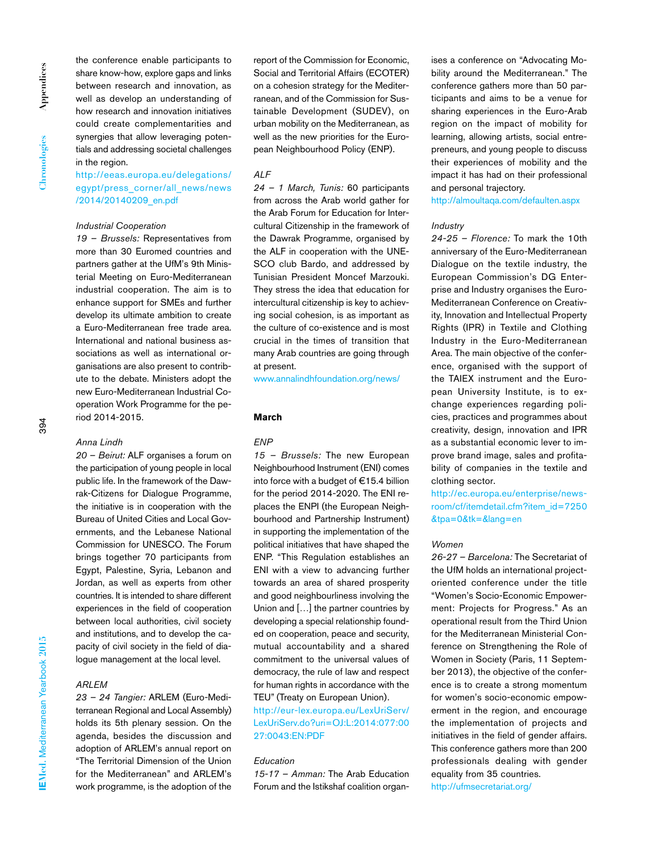the conference enable participants to share know-how, explore gaps and links between research and innovation, as well as develop an understanding of how research and innovation initiatives could create complementarities and synergies that allow leveraging potentials and addressing societal challenges in the region.

http://eeas.europa.eu/delegations/ egypt/press\_corner/all\_news/news /2014/20140209\_en.pdf

#### *Industrial Cooperation*

*19 – Brussels:* Representatives from more than 30 Euromed countries and partners gather at the UfM's 9th Ministerial Meeting on Euro-Mediterranean industrial cooperation. The aim is to enhance support for SMEs and further develop its ultimate ambition to create a Euro-Mediterranean free trade area. International and national business associations as well as international organisations are also present to contribute to the debate. Ministers adopt the new Euro-Mediterranean Industrial Cooperation Work Programme for the period 2014-2015.

# *Anna Lindh*

*20 – Beirut:* ALF organises a forum on the participation of young people in local public life. In the framework of the Dawrak-Citizens for Dialogue Programme, the initiative is in cooperation with the Bureau of United Cities and Local Governments, and the Lebanese National Commission for UNESCO. The Forum brings together 70 participants from Egypt, Palestine, Syria, Lebanon and Jordan, as well as experts from other countries. It is intended to share different experiences in the field of cooperation between local authorities, civil society and institutions, and to develop the capacity of civil society in the field of dialogue management at the local level.

# *ARLEM*

*23 – 24 Tangier:* ARLEM (Euro-Mediterranean Regional and Local Assembly) holds its 5th plenary session. On the agenda, besides the discussion and adoption of ARLEM's annual report on "The Territorial Dimension of the Union for the Mediterranean" and ARLEM's work programme, is the adoption of the

report of the Commission for Economic, Social and Territorial Affairs (ECOTER) on a cohesion strategy for the Mediterranean, and of the Commission for Sustainable Development (SUDEV), on urban mobility on the Mediterranean, as well as the new priorities for the European Neighbourhood Policy (ENP).

# *ALF*

*24 – 1 March, Tunis:* 60 participants from across the Arab world gather for the Arab Forum for Education for Intercultural Citizenship in the framework of the Dawrak Programme, organised by the ALF in cooperation with the UNE-SCO club Bardo, and addressed by Tunisian President Moncef Marzouki. They stress the idea that education for intercultural citizenship is key to achieving social cohesion, is as important as the culture of co-existence and is most crucial in the times of transition that many Arab countries are going through at present.

www.annalindhfoundation.org/news/

#### **March**

# *ENP*

*15 – Brussels:* The new European Neighbourhood Instrument (ENI) comes into force with a budget of €15.4 billion for the period 2014-2020. The ENI replaces the ENPI (the European Neighbourhood and Partnership Instrument) in supporting the implementation of the political initiatives that have shaped the ENP. "This Regulation establishes an ENI with a view to advancing further towards an area of shared prosperity and good neighbourliness involving the Union and […] the partner countries by developing a special relationship founded on cooperation, peace and security, mutual accountability and a shared commitment to the universal values of democracy, the rule of law and respect for human rights in accordance with the TEU" (Treaty on European Union).

http://eur-lex.europa.eu/LexUriServ/ LexUriServ.do?uri=OJ:L:2014:077:00 27:0043:EN:PDF

# *Education*

*15-17 – Amman:* The Arab Education Forum and the Istikshaf coalition organises a conference on "Advocating Mobility around the Mediterranean." The conference gathers more than 50 participants and aims to be a venue for sharing experiences in the Euro-Arab region on the impact of mobility for learning, allowing artists, social entrepreneurs, and young people to discuss their experiences of mobility and the impact it has had on their professional and personal trajectory.

http://almoultaqa.com/defaulten.aspx

#### *Industry*

*24-25 – Florence:* To mark the 10th anniversary of the Euro-Mediterranean Dialogue on the textile industry, the European Commission's DG Enterprise and Industry organises the Euro-Mediterranean Conference on Creativity, Innovation and Intellectual Property Rights (IPR) in Textile and Clothing Industry in the Euro-Mediterranean Area. The main objective of the conference, organised with the support of the TAIEX instrument and the European University Institute, is to exchange experiences regarding policies, practices and programmes about creativity, design, innovation and IPR as a substantial economic lever to improve brand image, sales and profitability of companies in the textile and clothing sector.

http://ec.europa.eu/enterprise/newsroom/cf/itemdetail.cfm?item\_id=7250 &tpa=0&tk=&lang=en

#### *Women*

*26-27 – Barcelona:* The Secretariat of the UfM holds an international projectoriented conference under the title "Women's Socio-Economic Empowerment: Projects for Progress." As an operational result from the Third Union for the Mediterranean Ministerial Conference on Strengthening the Role of Women in Society (Paris, 11 September 2013), the objective of the conference is to create a strong momentum for women's socio-economic empowerment in the region, and encourage the implementation of projects and initiatives in the field of gender affairs. This conference gathers more than 200 professionals dealing with gender equality from 35 countries.

http://ufmsecretariat.org/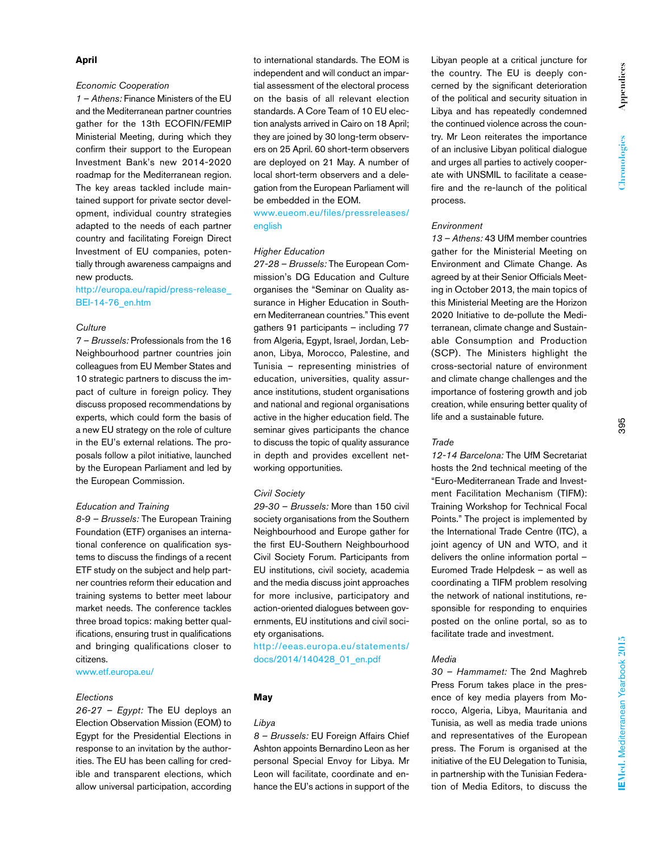# **April**

# *Economic Cooperation*

*1 – Athens:* Finance Ministers of the EU and the Mediterranean partner countries gather for the 13th ECOFIN/FEMIP Ministerial Meeting, during which they confirm their support to the European Investment Bank's new 2014-2020 roadmap for the Mediterranean region. The key areas tackled include maintained support for private sector development, individual country strategies adapted to the needs of each partner country and facilitating Foreign Direct Investment of EU companies, potentially through awareness campaigns and new products.

# http://europa.eu/rapid/press-release\_ BEI-14-76\_en.htm

# *Culture*

*7 – Brussels:* Professionals from the 16 Neighbourhood partner countries join colleagues from EU Member States and 10 strategic partners to discuss the impact of culture in foreign policy. They discuss proposed recommendations by experts, which could form the basis of a new EU strategy on the role of culture in the EU's external relations. The proposals follow a pilot initiative, launched by the European Parliament and led by the European Commission.

#### *Education and Training*

*8-9 – Brussels:* The European Training Foundation (ETF) organises an international conference on qualification systems to discuss the findings of a recent ETF study on the subject and help partner countries reform their education and training systems to better meet labour market needs. The conference tackles three broad topics: making better qualifications, ensuring trust in qualifications and bringing qualifications closer to citizens.

www.etf.europa.eu/

#### *Elections*

*26-27 – Egypt:* The EU deploys an Election Observation Mission (EOM) to Egypt for the Presidential Elections in response to an invitation by the authorities. The EU has been calling for credible and transparent elections, which allow universal participation, according

to international standards. The EOM is independent and will conduct an impartial assessment of the electoral process on the basis of all relevant election standards. A Core Team of 10 EU election analysts arrived in Cairo on 18 April; they are joined by 30 long-term observers on 25 April. 60 short-term observers are deployed on 21 May. A number of local short-term observers and a delegation from the European Parliament will be embedded in the EOM.

www.eueom.eu/files/pressreleases/ english

#### *Higher Education*

*27-28 – Brussels:* The European Commission's DG Education and Culture organises the "Seminar on Quality assurance in Higher Education in Southern Mediterranean countries." This event gathers 91 participants – including 77 from Algeria, Egypt, Israel, Jordan, Lebanon, Libya, Morocco, Palestine, and Tunisia – representing ministries of education, universities, quality assurance institutions, student organisations and national and regional organisations active in the higher education field. The seminar gives participants the chance to discuss the topic of quality assurance in depth and provides excellent networking opportunities.

#### *Civil Society*

*29-30 – Brussels:* More than 150 civil society organisations from the Southern Neighbourhood and Europe gather for the first EU-Southern Neighbourhood Civil Society Forum. Participants from EU institutions, civil society, academia and the media discuss joint approaches for more inclusive, participatory and action-oriented dialogues between governments, EU institutions and civil society organisations.

http://eeas.europa.eu/statements/ docs/2014/140428\_01\_en.pdf

# **May**

# *Libya*

*8 – Brussels:* EU Foreign Affairs Chief Ashton appoints Bernardino Leon as her personal Special Envoy for Libya. Mr Leon will facilitate, coordinate and enhance the EU's actions in support of the Libyan people at a critical juncture for the country. The EU is deeply concerned by the significant deterioration of the political and security situation in Libya and has repeatedly condemned the continued violence across the country. Mr Leon reiterates the importance of an inclusive Libyan political dialogue and urges all parties to actively cooperate with UNSMIL to facilitate a ceasefire and the re-launch of the political process.

#### *Environment*

*13 – Athens:* 43 UfM member countries gather for the Ministerial Meeting on Environment and Climate Change. As agreed by at their Senior Officials Meeting in October 2013, the main topics of this Ministerial Meeting are the Horizon 2020 Initiative to de-pollute the Mediterranean, climate change and Sustainable Consumption and Production (SCP). The Ministers highlight the cross-sectorial nature of environment and climate change challenges and the importance of fostering growth and job creation, while ensuring better quality of life and a sustainable future.

#### *Trade*

*12-14 Barcelona:* The UfM Secretariat hosts the 2nd technical meeting of the "Euro-Mediterranean Trade and Investment Facilitation Mechanism (TIFM): Training Workshop for Technical Focal Points." The project is implemented by the International Trade Centre (ITC), a joint agency of UN and WTO, and it delivers the online information portal – Euromed Trade Helpdesk – as well as coordinating a TIFM problem resolving the network of national institutions, responsible for responding to enquiries posted on the online portal, so as to facilitate trade and investment.

#### *Media*

*30 – Hammamet:* The 2nd Maghreb Press Forum takes place in the presence of key media players from Morocco, Algeria, Libya, Mauritania and Tunisia, as well as media trade unions and representatives of the European press. The Forum is organised at the initiative of the EU Delegation to Tunisia, in partnership with the Tunisian Federation of Media Editors, to discuss the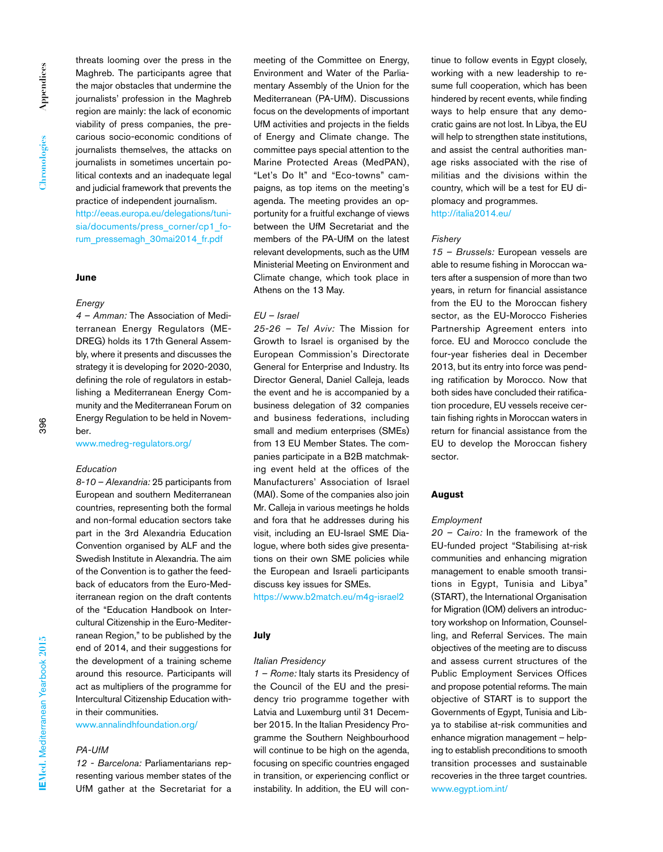threats looming over the press in the Maghreb. The participants agree that the major obstacles that undermine the journalists' profession in the Maghreb region are mainly: the lack of economic viability of press companies, the precarious socio-economic conditions of journalists themselves, the attacks on journalists in sometimes uncertain political contexts and an inadequate legal and judicial framework that prevents the practice of independent journalism. http://eeas.europa.eu/delegations/tunisia/documents/press\_corner/cp1\_forum\_pressemagh\_30mai2014\_fr.pdf

# **June**

#### *Energy*

*4 – Amman:* The Association of Mediterranean Energy Regulators (ME-DREG) holds its 17th General Assembly, where it presents and discusses the strategy it is developing for 2020-2030, defining the role of regulators in establishing a Mediterranean Energy Community and the Mediterranean Forum on Energy Regulation to be held in November.

# www.medreg-regulators.org/

#### *Education*

*8-10 – Alexandria:* 25 participants from European and southern Mediterranean countries, representing both the formal and non-formal education sectors take part in the 3rd Alexandria Education Convention organised by ALF and the Swedish Institute in Alexandria. The aim of the Convention is to gather the feedback of educators from the Euro-Mediterranean region on the draft contents of the "Education Handbook on Intercultural Citizenship in the Euro-Mediterranean Region," to be published by the end of 2014, and their suggestions for the development of a training scheme around this resource. Participants will act as multipliers of the programme for Intercultural Citizenship Education within their communities.

www.annalindhfoundation.org/

# *PA-UfM*

*12 - Barcelona:* Parliamentarians representing various member states of the UfM gather at the Secretariat for a meeting of the Committee on Energy, Environment and Water of the Parliamentary Assembly of the Union for the Mediterranean (PA-UfM). Discussions focus on the developments of important UfM activities and projects in the fields of Energy and Climate change. The committee pays special attention to the Marine Protected Areas (MedPAN), "Let's Do It" and "Eco-towns" campaigns, as top items on the meeting's agenda. The meeting provides an opportunity for a fruitful exchange of views between the UfM Secretariat and the members of the PA-UfM on the latest relevant developments, such as the UfM Ministerial Meeting on Environment and Climate change, which took place in Athens on the 13 May.

# *EU – Israel*

*25-26 – Tel Aviv:* The Mission for Growth to Israel is organised by the European Commission's Directorate General for Enterprise and Industry. Its Director General, Daniel Calleja, leads the event and he is accompanied by a business delegation of 32 companies and business federations, including small and medium enterprises (SMEs) from 13 EU Member States. The companies participate in a B2B matchmaking event held at the offices of the Manufacturers' Association of Israel (MAI). Some of the companies also join Mr. Calleja in various meetings he holds and fora that he addresses during his visit, including an EU-Israel SME Dialogue, where both sides give presentations on their own SME policies while the European and Israeli participants discuss key issues for SMEs.

https://www.b2match.eu/m4g-israel2

# **July**

# *Italian Presidency*

*1 – Rome:* Italy starts its Presidency of the Council of the EU and the presidency trio programme together with Latvia and Luxemburg until 31 December 2015. In the Italian Presidency Programme the Southern Neighbourhood will continue to be high on the agenda, focusing on specific countries engaged in transition, or experiencing conflict or instability. In addition, the EU will continue to follow events in Egypt closely, working with a new leadership to resume full cooperation, which has been hindered by recent events, while finding ways to help ensure that any democratic gains are not lost. In Libya, the EU will help to strengthen state institutions, and assist the central authorities manage risks associated with the rise of militias and the divisions within the country, which will be a test for EU diplomacy and programmes.

# http://italia2014.eu/

# *Fishery*

*15 – Brussels:* European vessels are able to resume fishing in Moroccan waters after a suspension of more than two years, in return for financial assistance from the EU to the Moroccan fishery sector, as the EU-Morocco Fisheries Partnership Agreement enters into force. EU and Morocco conclude the four-year fisheries deal in December 2013, but its entry into force was pending ratification by Morocco. Now that both sides have concluded their ratification procedure, EU vessels receive certain fishing rights in Moroccan waters in return for financial assistance from the EU to develop the Moroccan fishery sector.

# **August**

#### *Employment*

*20 – Cairo:* In the framework of the EU-funded project "Stabilising at-risk communities and enhancing migration management to enable smooth transitions in Egypt, Tunisia and Libya" (START), the International Organisation for Migration (IOM) delivers an introductory workshop on Information, Counselling, and Referral Services. The main objectives of the meeting are to discuss and assess current structures of the Public Employment Services Offices and propose potential reforms. The main objective of START is to support the Governments of Egypt, Tunisia and Libya to stabilise at-risk communities and enhance migration management – helping to establish preconditions to smooth transition processes and sustainable recoveries in the three target countries. www.egypt.iom.int/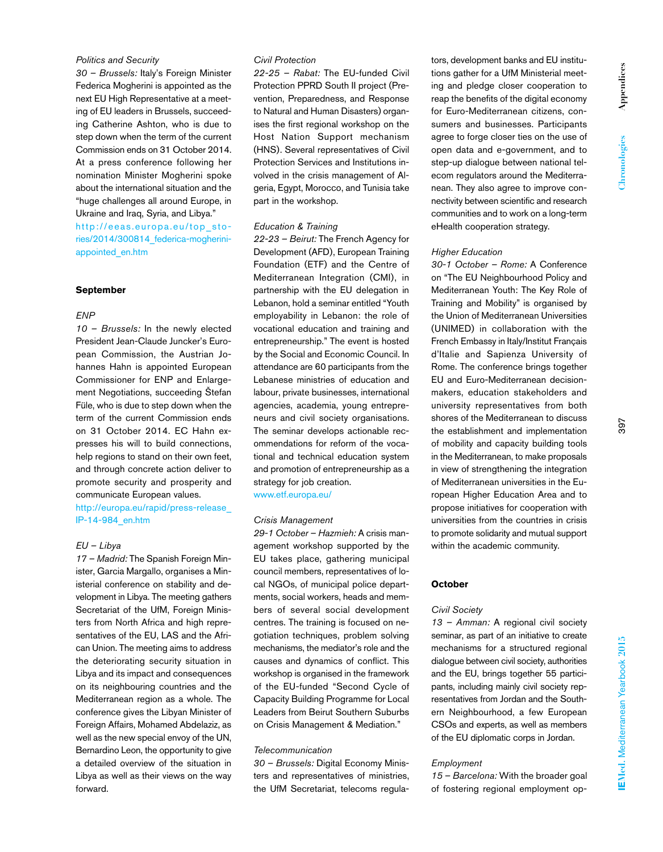# *Politics and Security*

*30 – Brussels:* Italy's Foreign Minister Federica Mogherini is appointed as the next EU High Representative at a meeting of EU leaders in Brussels, succeeding Catherine Ashton, who is due to step down when the term of the current Commission ends on 31 October 2014. At a press conference following her nomination Minister Mogherini spoke about the international situation and the "huge challenges all around Europe, in Ukraine and Iraq, Syria, and Libya." http://eeas.europa.eu/top\_stories/2014/300814\_federica-mogheriniappointed\_en.htm

# **September**

# *ENP*

*10 – Brussels:* In the newly elected President Jean-Claude Juncker's European Commission, the Austrian Johannes Hahn is appointed European Commissioner for ENP and Enlargement Negotiations, succeeding Štefan Füle, who is due to step down when the term of the current Commission ends on 31 October 2014. EC Hahn expresses his will to build connections, help regions to stand on their own feet, and through concrete action deliver to promote security and prosperity and communicate European values.

http://europa.eu/rapid/press-release\_ IP-14-984\_en.htm

# *EU – Libya*

*17 – Madrid:* The Spanish Foreign Minister, Garcia Margallo, organises a Ministerial conference on stability and development in Libya. The meeting gathers Secretariat of the UfM, Foreign Ministers from North Africa and high representatives of the EU, LAS and the African Union. The meeting aims to address the deteriorating security situation in Libya and its impact and consequences on its neighbouring countries and the Mediterranean region as a whole. The conference gives the Libyan Minister of Foreign Affairs, Mohamed Abdelaziz, as well as the new special envoy of the UN, Bernardino Leon, the opportunity to give a detailed overview of the situation in Libya as well as their views on the way forward.

# *Civil Protection*

*22-25 – Rabat:* The EU-funded Civil Protection PPRD South II project (Prevention, Preparedness, and Response to Natural and Human Disasters) organises the first regional workshop on the Host Nation Support mechanism (HNS). Several representatives of Civil Protection Services and Institutions involved in the crisis management of Algeria, Egypt, Morocco, and Tunisia take part in the workshop.

#### *Education & Training*

*22-23 – Beirut:* The French Agency for Development (AFD), European Training Foundation (ETF) and the Centre of Mediterranean Integration (CMI), in partnership with the EU delegation in Lebanon, hold a seminar entitled "Youth employability in Lebanon: the role of vocational education and training and entrepreneurship." The event is hosted by the Social and Economic Council. In attendance are 60 participants from the Lebanese ministries of education and labour, private businesses, international agencies, academia, young entrepreneurs and civil society organisations. The seminar develops actionable recommendations for reform of the vocational and technical education system and promotion of entrepreneurship as a strategy for job creation.

www.etf.europa.eu/

# *Crisis Management*

*29-1 October – Hazmieh:* A crisis management workshop supported by the EU takes place, gathering municipal council members, representatives of local NGOs, of municipal police departments, social workers, heads and members of several social development centres. The training is focused on negotiation techniques, problem solving mechanisms, the mediator's role and the causes and dynamics of conflict. This workshop is organised in the framework of the EU-funded "Second Cycle of Capacity Building Programme for Local Leaders from Beirut Southern Suburbs on Crisis Management & Mediation."

# *Telecommunication*

*30 – Brussels:* Digital Economy Ministers and representatives of ministries, the UfM Secretariat, telecoms regulators, development banks and EU institutions gather for a UfM Ministerial meeting and pledge closer cooperation to reap the benefits of the digital economy for Euro-Mediterranean citizens, consumers and businesses. Participants agree to forge closer ties on the use of open data and e-government, and to step-up dialogue between national telecom regulators around the Mediterranean. They also agree to improve connectivity between scientific and research communities and to work on a long-term eHealth cooperation strategy.

#### *Higher Education*

*30-1 October – Rome:* A Conference on "The EU Neighbourhood Policy and Mediterranean Youth: The Key Role of Training and Mobility" is organised by the Union of Mediterranean Universities (UNIMED) in collaboration with the French Embassy in Italy/Institut Français d'Italie and Sapienza University of Rome. The conference brings together EU and Euro-Mediterranean decisionmakers, education stakeholders and university representatives from both shores of the Mediterranean to discuss the establishment and implementation of mobility and capacity building tools in the Mediterranean, to make proposals in view of strengthening the integration of Mediterranean universities in the European Higher Education Area and to propose initiatives for cooperation with universities from the countries in crisis to promote solidarity and mutual support within the academic community.

# **October**

#### *Civil Society*

*13 – Amman:* A regional civil society seminar, as part of an initiative to create mechanisms for a structured regional dialogue between civil society, authorities and the EU, brings together 55 participants, including mainly civil society representatives from Jordan and the Southern Neighbourhood, a few European CSOs and experts, as well as members of the EU diplomatic corps in Jordan.

#### *Employment*

*15 – Barcelona:* With the broader goal of fostering regional employment op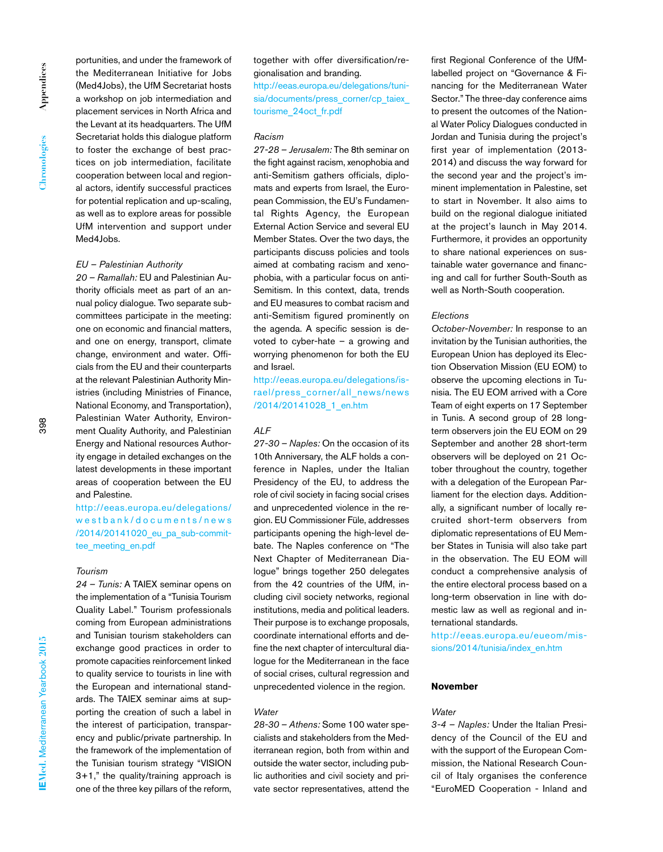portunities, and under the framework of the Mediterranean Initiative for Jobs (Med4Jobs), the UfM Secretariat hosts a workshop on job intermediation and placement services in North Africa and the Levant at its headquarters. The UfM Secretariat holds this dialogue platform to foster the exchange of best practices on job intermediation, facilitate cooperation between local and regional actors, identify successful practices for potential replication and up-scaling, as well as to explore areas for possible UfM intervention and support under Med4Jobs.

#### *EU – Palestinian Authority*

*20 – Ramallah:* EU and Palestinian Authority officials meet as part of an annual policy dialogue. Two separate subcommittees participate in the meeting: one on economic and financial matters, and one on energy, transport, climate change, environment and water. Officials from the EU and their counterparts at the relevant Palestinian Authority Ministries (including Ministries of Finance, National Economy, and Transportation), Palestinian Water Authority, Environment Quality Authority, and Palestinian Energy and National resources Authority engage in detailed exchanges on the latest developments in these important areas of cooperation between the EU and Palestine.

http://eeas.europa.eu/delegations/ westbank/documents/news /2014/20141020\_eu\_pa\_sub-committee\_meeting\_en.pdf

# *Tourism*

*24 – Tunis:* A TAIEX seminar opens on the implementation of a "Tunisia Tourism Quality Label." Tourism professionals coming from European administrations and Tunisian tourism stakeholders can exchange good practices in order to promote capacities reinforcement linked to quality service to tourists in line with the European and international standards. The TAIEX seminar aims at supporting the creation of such a label in the interest of participation, transparency and public/private partnership. In the framework of the implementation of the Tunisian tourism strategy "VISION 3+1," the quality/training approach is one of the three key pillars of the reform,

together with offer diversification/regionalisation and branding.

http://eeas.europa.eu/delegations/tunisia/documents/press\_corner/cp\_taiex tourisme\_24oct\_fr.pdf

# *Racism*

*27-28 – Jerusalem:* The 8th seminar on the fight against racism, xenophobia and anti-Semitism gathers officials, diplomats and experts from Israel, the European Commission, the EU's Fundamental Rights Agency, the European External Action Service and several EU Member States. Over the two days, the participants discuss policies and tools aimed at combating racism and xenophobia, with a particular focus on anti-Semitism. In this context, data, trends and EU measures to combat racism and anti-Semitism figured prominently on the agenda. A specific session is devoted to cyber-hate – a growing and worrying phenomenon for both the EU and Israel.

http://eeas.europa.eu/delegations/israel/press\_corner/all\_news/news /2014/20141028\_1\_en.htm

# *ALF*

*27-30 – Naples:* On the occasion of its 10th Anniversary, the ALF holds a conference in Naples, under the Italian Presidency of the EU, to address the role of civil society in facing social crises and unprecedented violence in the region. EU Commissioner Füle, addresses participants opening the high-level debate. The Naples conference on "The Next Chapter of Mediterranean Dialogue" brings together 250 delegates from the 42 countries of the UfM, including civil society networks, regional institutions, media and political leaders. Their purpose is to exchange proposals, coordinate international efforts and define the next chapter of intercultural dialogue for the Mediterranean in the face of social crises, cultural regression and unprecedented violence in the region.

#### *Water*

*28-30 – Athens:* Some 100 water specialists and stakeholders from the Mediterranean region, both from within and outside the water sector, including public authorities and civil society and private sector representatives, attend the first Regional Conference of the UfMlabelled project on "Governance & Financing for the Mediterranean Water Sector." The three-day conference aims to present the outcomes of the National Water Policy Dialogues conducted in Jordan and Tunisia during the project's first year of implementation (2013- 2014) and discuss the way forward for the second year and the project's imminent implementation in Palestine, set to start in November. It also aims to build on the regional dialogue initiated at the project's launch in May 2014. Furthermore, it provides an opportunity to share national experiences on sustainable water governance and financing and call for further South-South as well as North-South cooperation.

#### *Elections*

*October-November:* In response to an invitation by the Tunisian authorities, the European Union has deployed its Election Observation Mission (EU EOM) to observe the upcoming elections in Tunisia. The EU EOM arrived with a Core Team of eight experts on 17 September in Tunis. A second group of 28 longterm observers join the EU EOM on 29 September and another 28 short-term observers will be deployed on 21 October throughout the country, together with a delegation of the European Parliament for the election days. Additionally, a significant number of locally recruited short-term observers from diplomatic representations of EU Member States in Tunisia will also take part in the observation. The EU EOM will conduct a comprehensive analysis of the entire electoral process based on a long-term observation in line with domestic law as well as regional and international standards.

http://eeas.europa.eu/eueom/missions/2014/tunisia/index\_en.htm

#### **November**

#### *Water*

*3-4 – Naples:* Under the Italian Presidency of the Council of the EU and with the support of the European Commission, the National Research Council of Italy organises the conference "EuroMED Cooperation - Inland and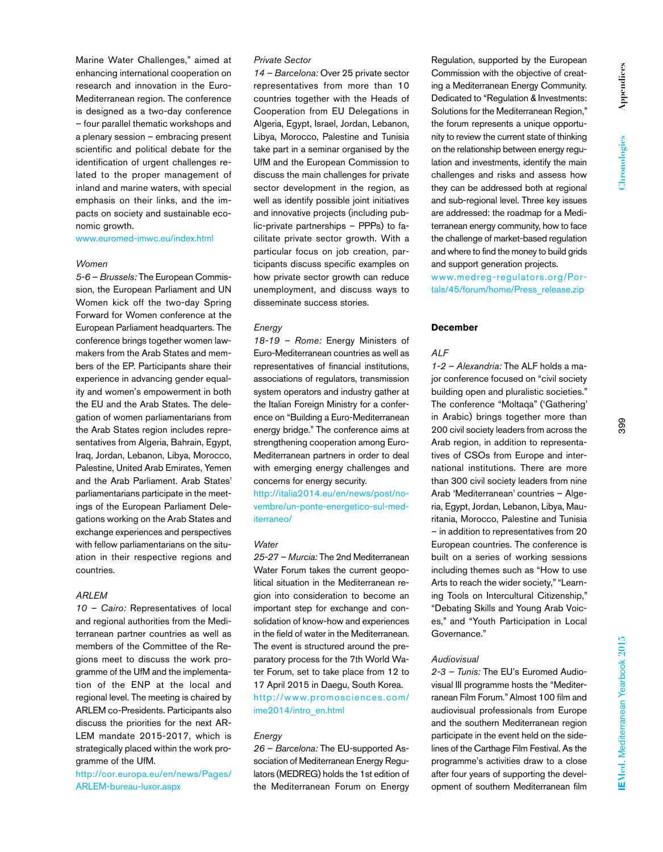Marine Water Challenges," aimed at enhancing international cooperation on research and innovation in the Euro-Mediterranean region. The conference is designed as a two-day conference – four parallel thematic workshops and a plenary session – embracing present scientific and political debate for the identification of urgent challenges related to the proper management of inland and marine waters, with special emphasis on their links, and the impacts on society and sustainable economic growth.

www.euromed-imwc.eu/index.html

# *Women*

*5-6 – Brussels:* The European Commission, the European Parliament and UN Women kick off the two-day Spring Forward for Women conference at the European Parliament headquarters. The conference brings together women lawmakers from the Arab States and members of the EP. Participants share their experience in advancing gender equality and women's empowerment in both the EU and the Arab States. The delegation of women parliamentarians from the Arab States region includes representatives from Algeria, Bahrain, Egypt, Iraq, Jordan, Lebanon, Libya, Morocco, Palestine, United Arab Emirates, Yemen and the Arab Parliament. Arab States' parliamentarians participate in the meetings of the European Parliament Delegations working on the Arab States and exchange experiences and perspectives with fellow parliamentarians on the situation in their respective regions and countries.

### *ARLEM*

*10 – Cairo:* Representatives of local and regional authorities from the Mediterranean partner countries as well as members of the Committee of the Regions meet to discuss the work programme of the UfM and the implementation of the ENP at the local and regional level. The meeting is chaired by ARLEM co-Presidents. Participants also discuss the priorities for the next AR-LEM mandate 2015-2017, which is strategically placed within the work programme of the UfM.

http://cor.europa.eu/en/news/Pages/ ARLEM-bureau-luxor.aspx

# *Private Sector*

*14 – Barcelona:* Over 25 private sector representatives from more than 10 countries together with the Heads of Cooperation from EU Delegations in Algeria, Egypt, Israel, Jordan, Lebanon, Libya, Morocco, Palestine and Tunisia take part in a seminar organised by the UfM and the European Commission to discuss the main challenges for private sector development in the region, as well as identify possible joint initiatives and innovative projects (including public-private partnerships – PPPs) to facilitate private sector growth. With a particular focus on job creation, participants discuss specific examples on how private sector growth can reduce unemployment, and discuss ways to disseminate success stories.

# *Energy*

*18-19 – Rome:* Energy Ministers of Euro-Mediterranean countries as well as representatives of financial institutions, associations of regulators, transmission system operators and industry gather at the Italian Foreign Ministry for a conference on "Building a Euro-Mediterranean energy bridge." The conference aims at strengthening cooperation among Euro-Mediterranean partners in order to deal with emerging energy challenges and concerns for energy security.

http://italia2014.eu/en/news/post/novembre/un-ponte-energetico-sul-mediterraneo/

#### *Water*

*25-27 – Murcia:* The 2nd Mediterranean Water Forum takes the current geopolitical situation in the Mediterranean region into consideration to become an important step for exchange and consolidation of know-how and experiences in the field of water in the Mediterranean. The event is structured around the preparatory process for the 7th World Water Forum, set to take place from 12 to 17 April 2015 in Daegu, South Korea. http://www.promosciences.com/ ime2014/intro\_en.html

### *Energy*

*26 – Barcelona:* The EU-supported Association of Mediterranean Energy Regulators (MEDREG) holds the 1st edition of the Mediterranean Forum on Energy Regulation, supported by the European Commission with the objective of creating a Mediterranean Energy Community. Dedicated to "Regulation & Investments: Solutions for the Mediterranean Region," the forum represents a unique opportunity to review the current state of thinking on the relationship between energy regulation and investments, identify the main challenges and risks and assess how they can be addressed both at regional and sub-regional level. Three key issues are addressed: the roadmap for a Mediterranean energy community, how to face the challenge of market-based regulation and where to find the money to build grids and support generation projects.

www.medreg-regulators.org/Portals/45/forum/home/Press\_release.zip

# **December**

# *ALF*

*1-2 – Alexandria:* The ALF holds a major conference focused on "civil society building open and pluralistic societies." The conference "Moltaqa" ('Gathering' in Arabic) brings together more than 200 civil society leaders from across the Arab region, in addition to representatives of CSOs from Europe and international institutions. There are more than 300 civil society leaders from nine Arab 'Mediterranean' countries – Algeria, Egypt, Jordan, Lebanon, Libya, Mauritania, Morocco, Palestine and Tunisia – in addition to representatives from 20 European countries. The conference is built on a series of working sessions including themes such as "How to use Arts to reach the wider society," "Learning Tools on Intercultural Citizenship," "Debating Skills and Young Arab Voices," and "Youth Participation in Local Governance."

# *Audiovisual*

*2-3 – Tunis:* The EU's Euromed Audiovisual III programme hosts the "Mediterranean Film Forum." Almost 100 film and audiovisual professionals from Europe and the southern Mediterranean region participate in the event held on the sidelines of the Carthage Film Festival. As the programme's activities draw to a close after four years of supporting the development of southern Mediterranean film